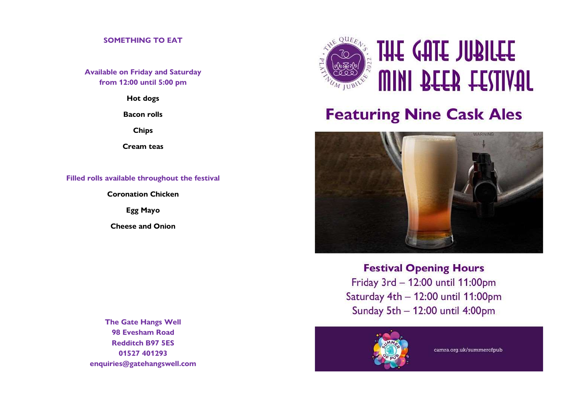# SOMETHING TO EAT

Available on Friday and Saturday from 12:00 until 5:00 pm

Hot dogs

Bacon rolls

Chips

Cream teas

Filled rolls available throughout the festival

Coronation Chicken

Egg Mayo

Cheese and Onion

The Gate Hangs Well 98 Evesham Road Redditch B97 5ES 01527 401293 enquiries@gatehangswell.com



# **Featuring Nine Cask Ales**



**Festival Opening Hours** Friday 3rd - 12:00 until 11:00pm Saturday 4th - 12:00 until 11:00pm Sunday 5th - 12:00 until 4:00pm



camra.org.uk/summerofpub